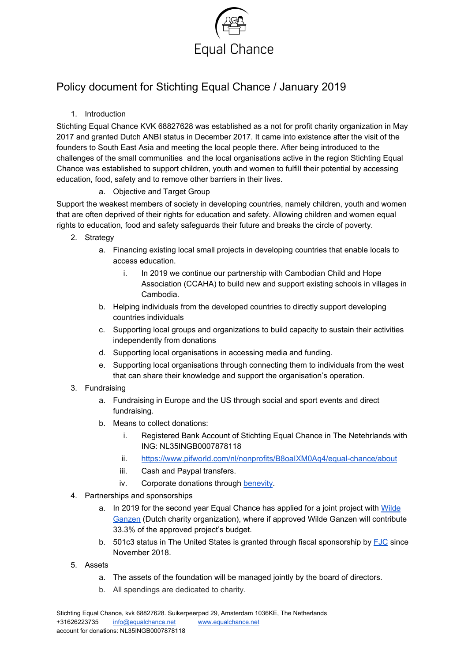

## Policy document for Stichting Equal Chance / January 2019

## 1. Introduction

Stichting Equal Chance KVK 68827628 was established as a not for profit charity organization in May 2017 and granted Dutch ANBI status in December 2017. It came into existence after the visit of the founders to South East Asia and meeting the local people there. After being introduced to the challenges of the small communities and the local organisations active in the region Stichting Equal Chance was established to support children, youth and women to fulfill their potential by accessing education, food, safety and to remove other barriers in their lives.

## a. Objective and Target Group

Support the weakest members of society in developing countries, namely children, youth and women that are often deprived of their rights for education and safety. Allowing children and women equal rights to education, food and safety safeguards their future and breaks the circle of poverty.

- 2. Strategy
	- a. Financing existing local small projects in developing countries that enable locals to access education.
		- i. In 2019 we continue our partnership with Cambodian Child and Hope Association (CCAHA) to build new and support existing schools in villages in Cambodia.
	- b. Helping individuals from the developed countries to directly support developing countries individuals
	- c. Supporting local groups and organizations to build capacity to sustain their activities independently from donations
	- d. Supporting local organisations in accessing media and funding.
	- e. Supporting local organisations through connecting them to individuals from the west that can share their knowledge and support the organisation's operation.
- 3. Fundraising
	- a. Fundraising in Europe and the US through social and sport events and direct fundraising.
	- b. Means to collect donations:
		- i. Registered Bank Account of Stichting Equal Chance in The Netehrlands with ING: NL35INGB0007878118
		- ii. https://www.pifworld.com/nl/nonprofits/B8oalXM0Aq4/equal-chance/about
		- iii. Cash and Paypal transfers.
		- iv. Corporate donations through [benevity.](https://www.benevity.com/)
- 4. Partnerships and sponsorships
	- a. In 2019 for the second year Equal Chance has applied for a joint project with [Wilde](https://www.wildeganzen.nl/about-wilde-ganzen) [Ganzen](https://www.wildeganzen.nl/about-wilde-ganzen) (Dutch charity organization), where if approved Wilde Ganzen will contribute 33.3% of the approved project's budget.
	- b. 501c3 status in The United States is granted through fiscal sponsorship by  $FJC$  since November 2018.
- 5. Assets
	- a. The assets of the foundation will be managed jointly by the board of directors.
	- b. All spendings are dedicated to charity.